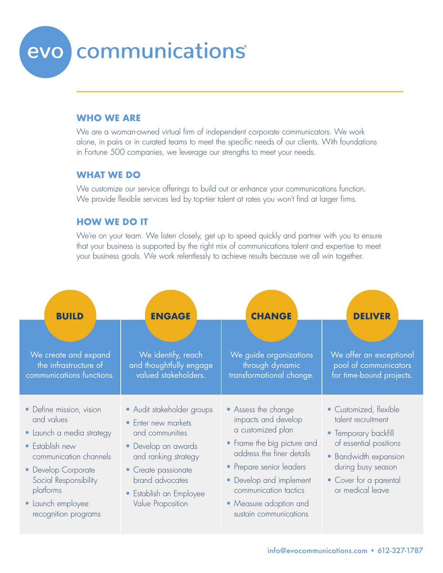# evo communications

### **WHO WE ARE**

We are a woman-owned virtual firm of independent corporate communicators. We work alone, in pairs or in curated teams to meet the specific needs of our clients. With foundations in Fortune 500 companies, we leverage our strengths to meet your needs.

### **WHAT WE DO**

We customize our service offerings to build out or enhance your communications function. We provide flexible services led by top-tier talent at rates you won't find at larger firms.

#### **HOW WE DO IT**

We're on your team. We listen closely, get up to speed quickly and partner with you to ensure that your business is supported by the right mix of communications talent and expertise to meet your business goals. We work relentlessly to achieve results because we all win together.

| <b>BUILD</b>                                                                                                                                                                                                               | <b>ENGAGE</b>                                                                                                                                                                                                 | <b>CHANGE</b>                                                                                                                                                                                                                                                   | <b>DELIVER</b>                                                                                                                                                                              |
|----------------------------------------------------------------------------------------------------------------------------------------------------------------------------------------------------------------------------|---------------------------------------------------------------------------------------------------------------------------------------------------------------------------------------------------------------|-----------------------------------------------------------------------------------------------------------------------------------------------------------------------------------------------------------------------------------------------------------------|---------------------------------------------------------------------------------------------------------------------------------------------------------------------------------------------|
| We create and expand<br>the infrastructure of<br>communications functions.                                                                                                                                                 | We identify, reach<br>and thoughtfully engage<br>valued stakeholders.                                                                                                                                         | We guide organizations<br>through dynamic<br>transformational change.                                                                                                                                                                                           | We offer an exceptional<br>pool of communicators<br>for time-bound projects.                                                                                                                |
| • Define mission, vision<br>and values<br>· Launch a media strategy<br>• Establish new<br>communication channels<br>• Develop Corporate<br>Social Responsibility<br>platforms<br>• Launch employee<br>recognition programs | • Audit stakeholder groups<br>• Enter new markets<br>and communities<br>• Develop an awards<br>and ranking strategy<br>• Create passionate<br>brand advocates<br>• Establish an Employee<br>Value Proposition | • Assess the change<br>impacts and develop<br>a customized plan<br>• Frame the big picture and<br>address the finer details<br>• Prepare senior leaders<br>• Develop and implement<br>communication tactics<br>• Measure adoption and<br>sustain communications | • Customized, flexible<br>talent recruitment<br>• Temporary backfill<br>of essential positions<br>• Bandwidth expansion<br>during busy season<br>• Cover for a parental<br>or medical leave |